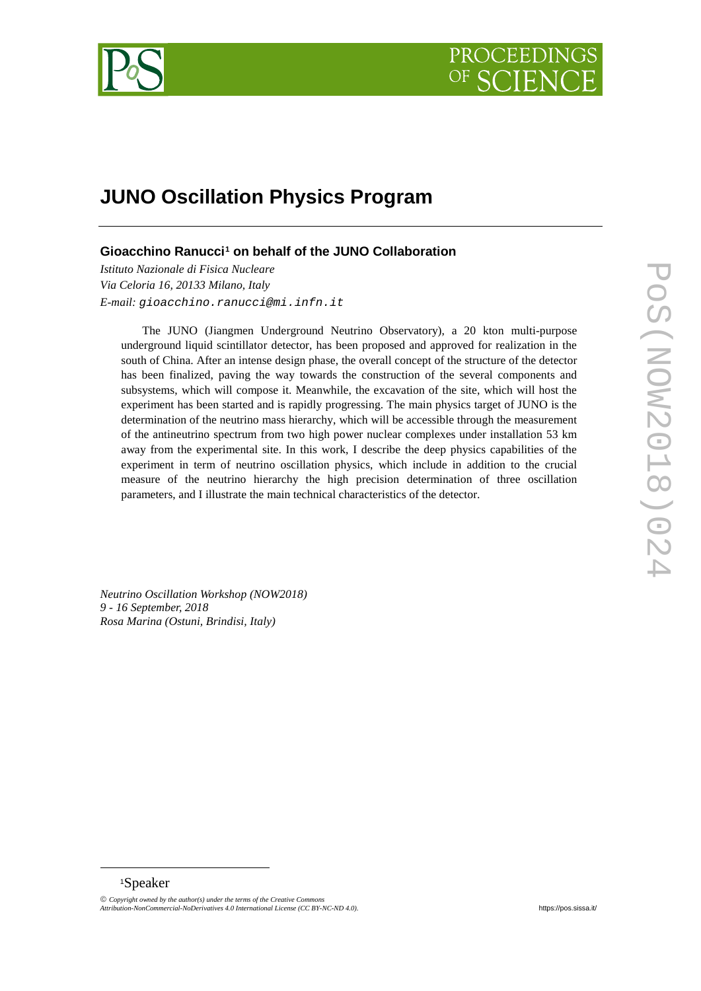

# **JUNO Oscillation Physics Program**

**Gioacchino Ranucci[1](#page-0-0) on behalf of the JUNO Collaboration**

*Istituto Nazionale di Fisica Nucleare Via Celoria 16, 20133 Milano, Italy E-mail: gioacchino.ranucci@mi.infn.it*

The JUNO (Jiangmen Underground Neutrino Observatory), a 20 kton multi-purpose underground liquid scintillator detector, has been proposed and approved for realization in the south of China. After an intense design phase, the overall concept of the structure of the detector has been finalized, paving the way towards the construction of the several components and subsystems, which will compose it. Meanwhile, the excavation of the site, which will host the experiment has been started and is rapidly progressing. The main physics target of JUNO is the determination of the neutrino mass hierarchy, which will be accessible through the measurement of the antineutrino spectrum from two high power nuclear complexes under installation 53 km away from the experimental site. In this work, I describe the deep physics capabilities of the experiment in term of neutrino oscillation physics, which include in addition to the crucial measure of the neutrino hierarchy the high precision determination of three oscillation parameters, and I illustrate the main technical characteristics of the detector.

*Neutrino Oscillation Workshop (NOW2018) 9 - 16 September, 2018 Rosa Marina (Ostuni, Brindisi, Italy)*

## <sup>1</sup>Speaker

-

<span id="page-0-0"></span>*Copyright owned by the author(s) under the terms of the Creative Commons Attribution-NonCommercial-NoDerivatives 4.0 International License (CC BY-NC-ND 4.0).* [https://pos.sissa.it/](http://pos.sissa.it/)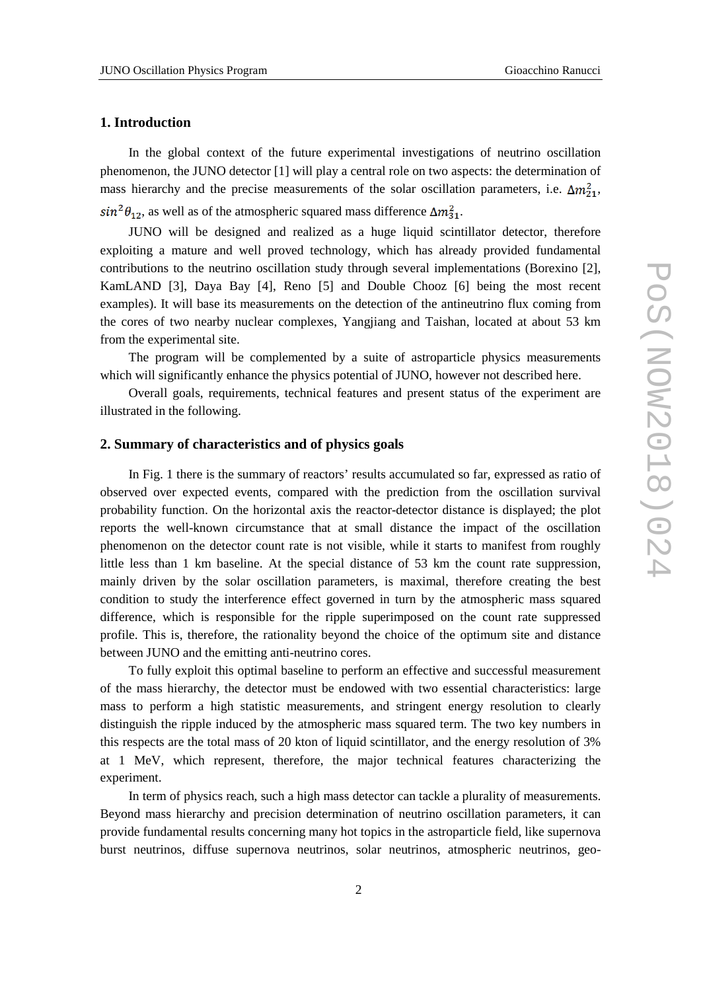# **1. Introduction**

In the global context of the future experimental investigations of neutrino oscillation phenomenon, the JUNO detector [1] will play a central role on two aspects: the determination of mass hierarchy and the precise measurements of the solar oscillation parameters, i.e.  $\Delta m_{21}^2$ ,  $sin^2\theta_{12}$ , as well as of the atmospheric squared mass difference  $\Delta m_{31}^2$ .

JUNO will be designed and realized as a huge liquid scintillator detector, therefore exploiting a mature and well proved technology, which has already provided fundamental contributions to the neutrino oscillation study through several implementations (Borexino [2], KamLAND [3], Daya Bay [4], Reno [5] and Double Chooz [6] being the most recent examples). It will base its measurements on the detection of the antineutrino flux coming from the cores of two nearby nuclear complexes, Yangjiang and Taishan, located at about 53 km from the experimental site.

The program will be complemented by a suite of astroparticle physics measurements which will significantly enhance the physics potential of JUNO, however not described here.

Overall goals, requirements, technical features and present status of the experiment are illustrated in the following.

## **2. Summary of characteristics and of physics goals**

In Fig. 1 there is the summary of reactors' results accumulated so far, expressed as ratio of observed over expected events, compared with the prediction from the oscillation survival probability function. On the horizontal axis the reactor-detector distance is displayed; the plot reports the well-known circumstance that at small distance the impact of the oscillation phenomenon on the detector count rate is not visible, while it starts to manifest from roughly little less than 1 km baseline. At the special distance of 53 km the count rate suppression, mainly driven by the solar oscillation parameters, is maximal, therefore creating the best condition to study the interference effect governed in turn by the atmospheric mass squared difference, which is responsible for the ripple superimposed on the count rate suppressed profile. This is, therefore, the rationality beyond the choice of the optimum site and distance between JUNO and the emitting anti-neutrino cores.

To fully exploit this optimal baseline to perform an effective and successful measurement of the mass hierarchy, the detector must be endowed with two essential characteristics: large mass to perform a high statistic measurements, and stringent energy resolution to clearly distinguish the ripple induced by the atmospheric mass squared term. The two key numbers in this respects are the total mass of 20 kton of liquid scintillator, and the energy resolution of 3% at 1 MeV, which represent, therefore, the major technical features characterizing the experiment.

In term of physics reach, such a high mass detector can tackle a plurality of measurements. Beyond mass hierarchy and precision determination of neutrino oscillation parameters, it can provide fundamental results concerning many hot topics in the astroparticle field, like supernova burst neutrinos, diffuse supernova neutrinos, solar neutrinos, atmospheric neutrinos, geo-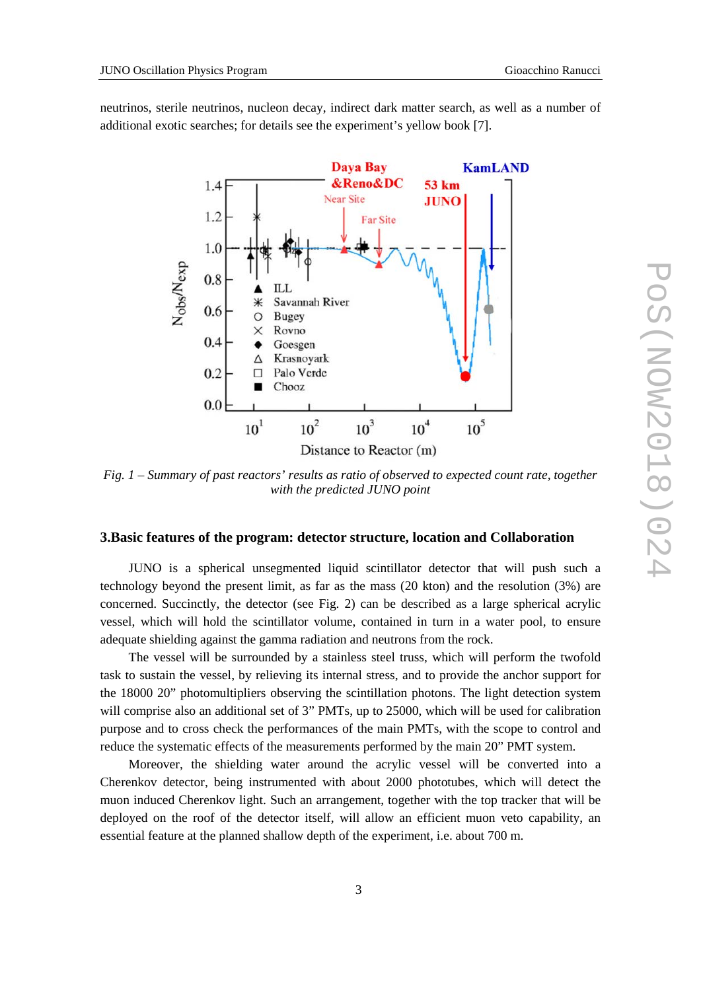neutrinos, sterile neutrinos, nucleon decay, indirect dark matter search, as well as a number of additional exotic searches; for details see the experiment's yellow book [7].



*Fig. 1 – Summary of past reactors' results as ratio of observed to expected count rate, together with the predicted JUNO point*

# **3.Basic features of the program: detector structure, location and Collaboration**

JUNO is a spherical unsegmented liquid scintillator detector that will push such a technology beyond the present limit, as far as the mass (20 kton) and the resolution (3%) are concerned. Succinctly, the detector (see Fig. 2) can be described as a large spherical acrylic vessel, which will hold the scintillator volume, contained in turn in a water pool, to ensure adequate shielding against the gamma radiation and neutrons from the rock.

The vessel will be surrounded by a stainless steel truss, which will perform the twofold task to sustain the vessel, by relieving its internal stress, and to provide the anchor support for the 18000 20" photomultipliers observing the scintillation photons. The light detection system will comprise also an additional set of 3" PMTs, up to 25000, which will be used for calibration purpose and to cross check the performances of the main PMTs, with the scope to control and reduce the systematic effects of the measurements performed by the main 20" PMT system.

Moreover, the shielding water around the acrylic vessel will be converted into a Cherenkov detector, being instrumented with about 2000 phototubes, which will detect the muon induced Cherenkov light. Such an arrangement, together with the top tracker that will be deployed on the roof of the detector itself, will allow an efficient muon veto capability, an essential feature at the planned shallow depth of the experiment, i.e. about 700 m.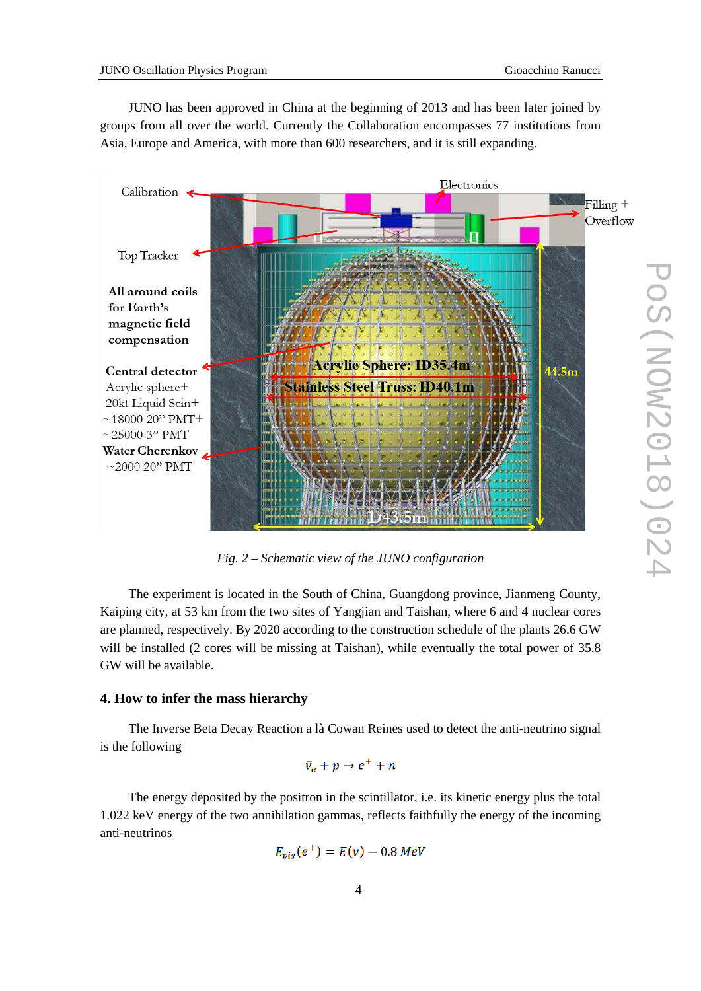JUNO has been approved in China at the beginning of 2013 and has been later joined by groups from all over the world. Currently the Collaboration encompasses 77 institutions from Asia, Europe and America, with more than 600 researchers, and it is still expanding.



*Fig. 2 – Schematic view of the JUNO configuration*

The experiment is located in the South of China, Guangdong province, Jianmeng County, Kaiping city, at 53 km from the two sites of Yangjian and Taishan, where 6 and 4 nuclear cores are planned, respectively. By 2020 according to the construction schedule of the plants 26.6 GW will be installed (2 cores will be missing at Taishan), while eventually the total power of 35.8 GW will be available.

#### **4. How to infer the mass hierarchy**

The Inverse Beta Decay Reaction a là Cowan Reines used to detect the anti-neutrino signal is the following

$$
\bar{\nu}_e + p \rightarrow e^+ + n
$$

The energy deposited by the positron in the scintillator, i.e. its kinetic energy plus the total 1.022 keV energy of the two annihilation gammas, reflects faithfully the energy of the incoming anti-neutrinos

$$
E_{vis}(e^+) = E(v) - 0.8 \text{ MeV}
$$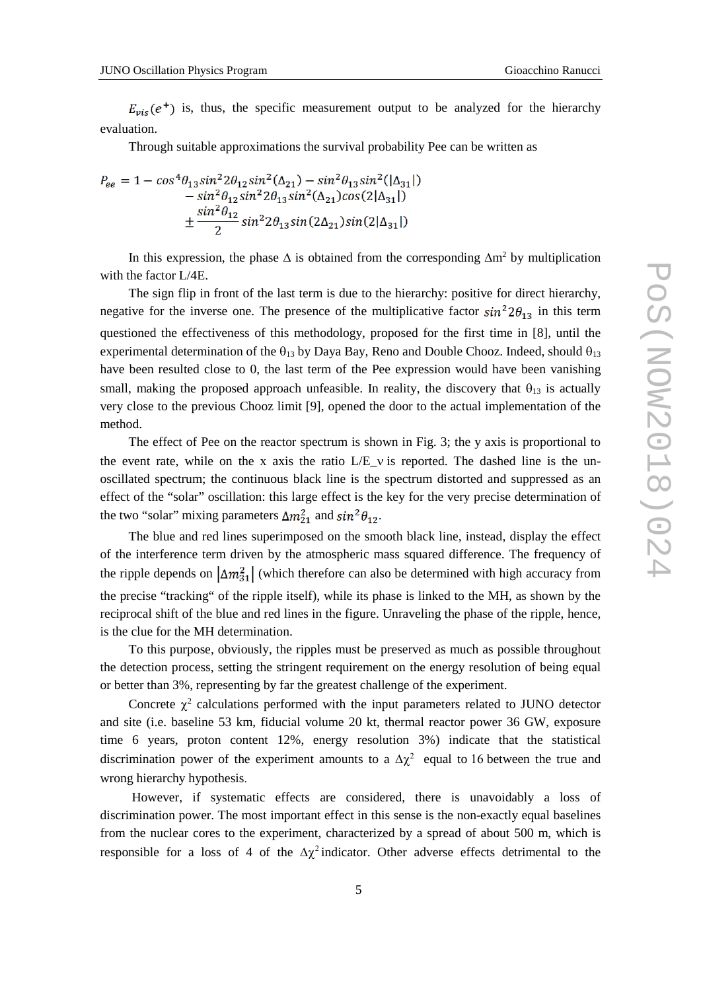$E_{vis}(e^+)$  is, thus, the specific measurement output to be analyzed for the hierarchy evaluation.

Through suitable approximations the survival probability Pee can be written as

$$
P_{ee} = 1 - \cos^4 \theta_{13} \sin^2 2\theta_{12} \sin^2 (\Delta_{21}) - \sin^2 \theta_{13} \sin^2 (|\Delta_{31}|) - \sin^2 \theta_{12} \sin^2 2\theta_{13} \sin^2 (\Delta_{21}) \cos (2|\Delta_{31}|) + \frac{\sin^2 \theta_{12}}{2} \sin^2 2\theta_{13} \sin (2\Delta_{21}) \sin (2|\Delta_{31}|)
$$

In this expression, the phase  $\Delta$  is obtained from the corresponding  $\Delta m^2$  by multiplication with the factor L/4E.

The sign flip in front of the last term is due to the hierarchy: positive for direct hierarchy, negative for the inverse one. The presence of the multiplicative factor  $sin^2 2\theta_{13}$  in this term questioned the effectiveness of this methodology, proposed for the first time in [8], until the experimental determination of the  $\theta_{13}$  by Daya Bay, Reno and Double Chooz. Indeed, should  $\theta_{13}$ have been resulted close to 0, the last term of the Pee expression would have been vanishing small, making the proposed approach unfeasible. In reality, the discovery that  $\theta_{13}$  is actually very close to the previous Chooz limit [9], opened the door to the actual implementation of the method.

The effect of Pee on the reactor spectrum is shown in Fig. 3; the y axis is proportional to the event rate, while on the x axis the ratio L/E v is reported. The dashed line is the unoscillated spectrum; the continuous black line is the spectrum distorted and suppressed as an effect of the "solar" oscillation: this large effect is the key for the very precise determination of the two "solar" mixing parameters  $\Delta m_{21}^2$  and  $\sin^2\theta_{12}$ .

The blue and red lines superimposed on the smooth black line, instead, display the effect of the interference term driven by the atmospheric mass squared difference. The frequency of the ripple depends on  $\left|\Delta m_{31}^2\right|$  (which therefore can also be determined with high accuracy from the precise "tracking" of the ripple itself), while its phase is linked to the MH, as shown by the reciprocal shift of the blue and red lines in the figure. Unraveling the phase of the ripple, hence, is the clue for the MH determination.

To this purpose, obviously, the ripples must be preserved as much as possible throughout the detection process, setting the stringent requirement on the energy resolution of being equal or better than 3%, representing by far the greatest challenge of the experiment.

Concrete  $\chi^2$  calculations performed with the input parameters related to JUNO detector and site (i.e. baseline 53 km, fiducial volume 20 kt, thermal reactor power 36 GW, exposure time 6 years, proton content 12%, energy resolution 3%) indicate that the statistical discrimination power of the experiment amounts to a  $\Delta \chi^2$  equal to 16 between the true and wrong hierarchy hypothesis.

However, if systematic effects are considered, there is unavoidably a loss of discrimination power. The most important effect in this sense is the non-exactly equal baselines from the nuclear cores to the experiment, characterized by a spread of about 500 m, which is responsible for a loss of 4 of the  $\Delta \chi^2$  indicator. Other adverse effects detrimental to the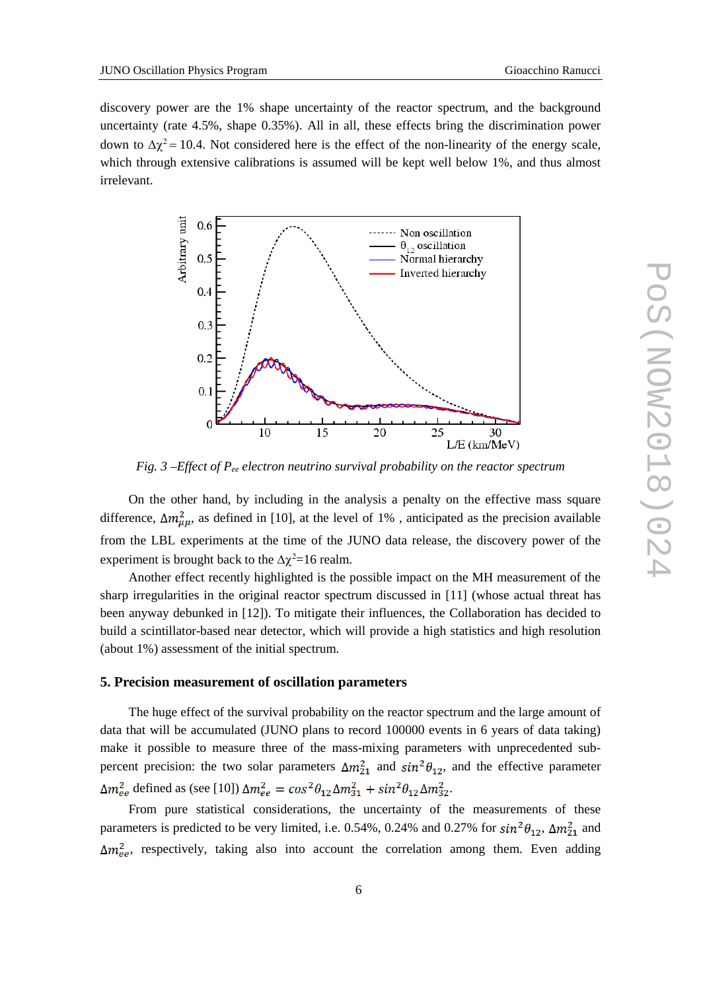discovery power are the 1% shape uncertainty of the reactor spectrum, and the background uncertainty (rate 4.5%, shape 0.35%). All in all, these effects bring the discrimination power down to  $Δχ² = 10.4$ . Not considered here is the effect of the non-linearity of the energy scale, which through extensive calibrations is assumed will be kept well below 1%, and thus almost irrelevant.



*Fig. 3 –Effect of Pee electron neutrino survival probability on the reactor spectrum*

On the other hand, by including in the analysis a penalty on the effective mass square difference,  $\Delta m_{\mu\mu}^2$ , as defined in [10], at the level of 1%, anticipated as the precision available from the LBL experiments at the time of the JUNO data release, the discovery power of the experiment is brought back to the  $\Delta \chi^2$ =16 realm.

Another effect recently highlighted is the possible impact on the MH measurement of the sharp irregularities in the original reactor spectrum discussed in [11] (whose actual threat has been anyway debunked in [12]). To mitigate their influences, the Collaboration has decided to build a scintillator-based near detector, which will provide a high statistics and high resolution (about 1%) assessment of the initial spectrum.

#### **5. Precision measurement of oscillation parameters**

The huge effect of the survival probability on the reactor spectrum and the large amount of data that will be accumulated (JUNO plans to record 100000 events in 6 years of data taking) make it possible to measure three of the mass-mixing parameters with unprecedented subpercent precision: the two solar parameters  $\Delta m_{21}^2$  and  $\sin^2\theta_{12}$ , and the effective parameter  $\Delta m_{ee}^2$  defined as (see [10])  $\Delta m_{ee}^2 = \cos^2 \theta_{12} \Delta m_{31}^2 + \sin^2 \theta_{12} \Delta m_{32}^2$ .

From pure statistical considerations, the uncertainty of the measurements of these parameters is predicted to be very limited, i.e. 0.54%, 0.24% and 0.27% for  $sin^2\theta_{12}$ ,  $\Delta m_{21}^2$  and  $\Delta m_{ee}^2$ , respectively, taking also into account the correlation among them. Even adding